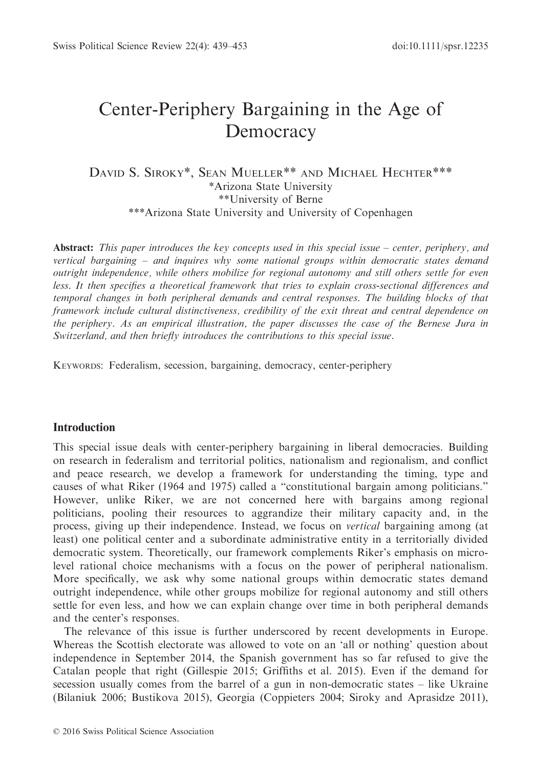# Center-Periphery Bargaining in the Age of Democracy

DAVID S. SIROKY\*, SEAN MUELLER\*\* AND MICHAEL HECHTER\*\*\* \*Arizona State University \*\*University of Berne \*\*\*Arizona State University and University of Copenhagen

**Abstract:** This paper introduces the key concepts used in this special issue – center, periphery, and vertical bargaining – and inquires why some national groups within democratic states demand outright independence, while others mobilize for regional autonomy and still others settle for even less. It then specifies a theoretical framework that tries to explain cross-sectional differences and temporal changes in both peripheral demands and central responses. The building blocks of that framework include cultural distinctiveness, credibility of the exit threat and central dependence on the periphery. As an empirical illustration, the paper discusses the case of the Bernese Jura in Switzerland, and then briefly introduces the contributions to this special issue.

KEYWORDS: Federalism, secession, bargaining, democracy, center-periphery

# Introduction

This special issue deals with center-periphery bargaining in liberal democracies. Building on research in federalism and territorial politics, nationalism and regionalism, and conflict and peace research, we develop a framework for understanding the timing, type and causes of what Riker (1964 and 1975) called a "constitutional bargain among politicians." However, unlike Riker, we are not concerned here with bargains among regional politicians, pooling their resources to aggrandize their military capacity and, in the process, giving up their independence. Instead, we focus on vertical bargaining among (at least) one political center and a subordinate administrative entity in a territorially divided democratic system. Theoretically, our framework complements Riker's emphasis on microlevel rational choice mechanisms with a focus on the power of peripheral nationalism. More specifically, we ask why some national groups within democratic states demand outright independence, while other groups mobilize for regional autonomy and still others settle for even less, and how we can explain change over time in both peripheral demands and the center's responses.

The relevance of this issue is further underscored by recent developments in Europe. Whereas the Scottish electorate was allowed to vote on an 'all or nothing' question about independence in September 2014, the Spanish government has so far refused to give the Catalan people that right (Gillespie 2015; Griffiths et al. 2015). Even if the demand for secession usually comes from the barrel of a gun in non-democratic states – like Ukraine (Bilaniuk 2006; Bustikova 2015), Georgia (Coppieters 2004; Siroky and Aprasidze 2011),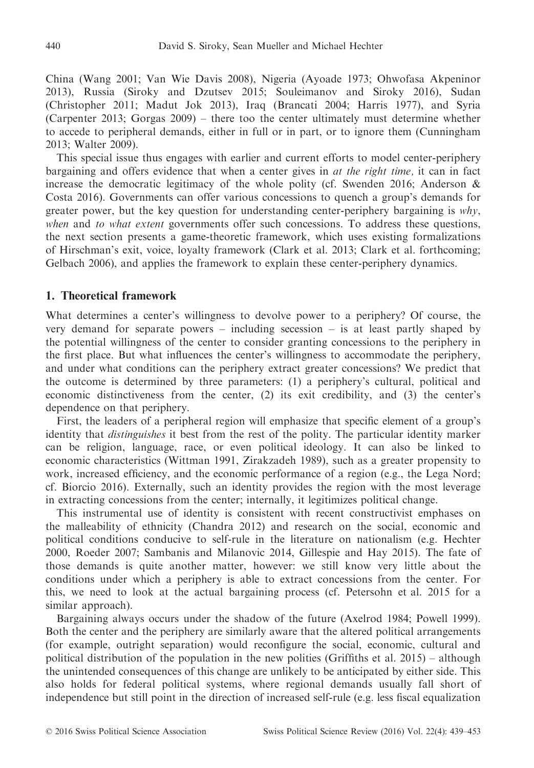China (Wang 2001; Van Wie Davis 2008), Nigeria (Ayoade 1973; Ohwofasa Akpeninor 2013), Russia (Siroky and Dzutsev 2015; Souleimanov and Siroky 2016), Sudan (Christopher 2011; Madut Jok 2013), Iraq (Brancati 2004; Harris 1977), and Syria (Carpenter 2013; Gorgas 2009) – there too the center ultimately must determine whether to accede to peripheral demands, either in full or in part, or to ignore them (Cunningham 2013; Walter 2009).

This special issue thus engages with earlier and current efforts to model center-periphery bargaining and offers evidence that when a center gives in at the right time, it can in fact increase the democratic legitimacy of the whole polity (cf. Swenden 2016; Anderson  $\&$ Costa 2016). Governments can offer various concessions to quench a group's demands for greater power, but the key question for understanding center-periphery bargaining is  $why$ , when and to what extent governments offer such concessions. To address these questions, the next section presents a game-theoretic framework, which uses existing formalizations of Hirschman's exit, voice, loyalty framework (Clark et al. 2013; Clark et al. forthcoming; Gelbach 2006), and applies the framework to explain these center-periphery dynamics.

# 1. Theoretical framework

What determines a center's willingness to devolve power to a periphery? Of course, the very demand for separate powers – including secession – is at least partly shaped by the potential willingness of the center to consider granting concessions to the periphery in the first place. But what influences the center's willingness to accommodate the periphery, and under what conditions can the periphery extract greater concessions? We predict that the outcome is determined by three parameters: (1) a periphery's cultural, political and economic distinctiveness from the center, (2) its exit credibility, and (3) the center's dependence on that periphery.

First, the leaders of a peripheral region will emphasize that specific element of a group's identity that distinguishes it best from the rest of the polity. The particular identity marker can be religion, language, race, or even political ideology. It can also be linked to economic characteristics (Wittman 1991, Zirakzadeh 1989), such as a greater propensity to work, increased efficiency, and the economic performance of a region (e.g., the Lega Nord; cf. Biorcio 2016). Externally, such an identity provides the region with the most leverage in extracting concessions from the center; internally, it legitimizes political change.

This instrumental use of identity is consistent with recent constructivist emphases on the malleability of ethnicity (Chandra 2012) and research on the social, economic and political conditions conducive to self-rule in the literature on nationalism (e.g. Hechter 2000, Roeder 2007; Sambanis and Milanovic 2014, Gillespie and Hay 2015). The fate of those demands is quite another matter, however: we still know very little about the conditions under which a periphery is able to extract concessions from the center. For this, we need to look at the actual bargaining process (cf. Petersohn et al. 2015 for a similar approach).

Bargaining always occurs under the shadow of the future (Axelrod 1984; Powell 1999). Both the center and the periphery are similarly aware that the altered political arrangements (for example, outright separation) would reconfigure the social, economic, cultural and political distribution of the population in the new polities (Griffiths et al. 2015) – although the unintended consequences of this change are unlikely to be anticipated by either side. This also holds for federal political systems, where regional demands usually fall short of independence but still point in the direction of increased self-rule (e.g. less fiscal equalization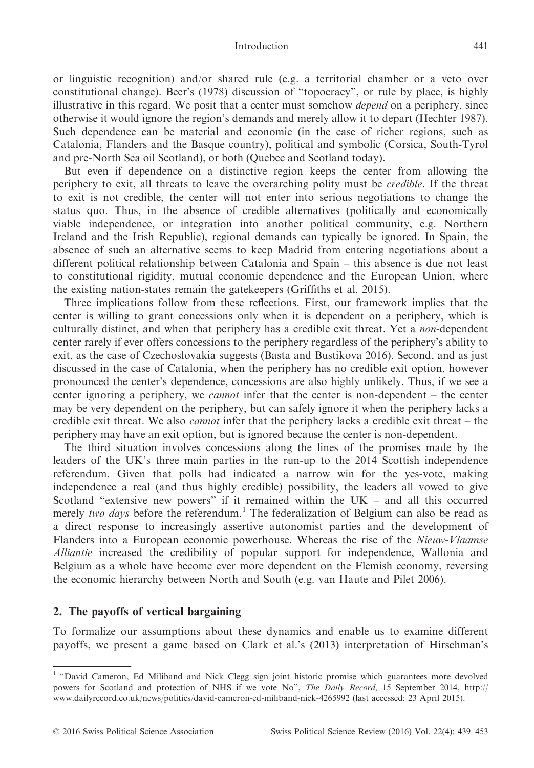#### Introduction 441

or linguistic recognition) and/or shared rule (e.g. a territorial chamber or a veto over constitutional change). Beer's (1978) discussion of "topocracy", or rule by place, is highly illustrative in this regard. We posit that a center must somehow *depend* on a periphery, since otherwise it would ignore the region's demands and merely allow it to depart (Hechter 1987). Such dependence can be material and economic (in the case of richer regions, such as Catalonia, Flanders and the Basque country), political and symbolic (Corsica, South-Tyrol and pre-North Sea oil Scotland), or both (Quebec and Scotland today).

But even if dependence on a distinctive region keeps the center from allowing the periphery to exit, all threats to leave the overarching polity must be credible. If the threat to exit is not credible, the center will not enter into serious negotiations to change the status quo. Thus, in the absence of credible alternatives (politically and economically viable independence, or integration into another political community, e.g. Northern Ireland and the Irish Republic), regional demands can typically be ignored. In Spain, the absence of such an alternative seems to keep Madrid from entering negotiations about a different political relationship between Catalonia and Spain – this absence is due not least to constitutional rigidity, mutual economic dependence and the European Union, where the existing nation-states remain the gatekeepers (Griffiths et al. 2015).

Three implications follow from these reflections. First, our framework implies that the center is willing to grant concessions only when it is dependent on a periphery, which is culturally distinct, and when that periphery has a credible exit threat. Yet a non-dependent center rarely if ever offers concessions to the periphery regardless of the periphery's ability to exit, as the case of Czechoslovakia suggests (Basta and Bustikova 2016). Second, and as just discussed in the case of Catalonia, when the periphery has no credible exit option, however pronounced the center's dependence, concessions are also highly unlikely. Thus, if we see a center ignoring a periphery, we *cannot* infer that the center is non-dependent – the center may be very dependent on the periphery, but can safely ignore it when the periphery lacks a credible exit threat. We also cannot infer that the periphery lacks a credible exit threat – the periphery may have an exit option, but is ignored because the center is non-dependent.

The third situation involves concessions along the lines of the promises made by the leaders of the UK's three main parties in the run-up to the 2014 Scottish independence referendum. Given that polls had indicated a narrow win for the yes-vote, making independence a real (and thus highly credible) possibility, the leaders all vowed to give Scotland "extensive new powers" if it remained within the UK – and all this occurred merely two days before the referendum.<sup>1</sup> The federalization of Belgium can also be read as a direct response to increasingly assertive autonomist parties and the development of Flanders into a European economic powerhouse. Whereas the rise of the Nieuw-Vlaamse Alliantie increased the credibility of popular support for independence, Wallonia and Belgium as a whole have become ever more dependent on the Flemish economy, reversing the economic hierarchy between North and South (e.g. van Haute and Pilet 2006).

# 2. The payoffs of vertical bargaining

To formalize our assumptions about these dynamics and enable us to examine different payoffs, we present a game based on Clark et al.'s (2013) interpretation of Hirschman's

<sup>&</sup>lt;sup>1</sup> "David Cameron, Ed Miliband and Nick Clegg sign joint historic promise which guarantees more devolved powers for Scotland and protection of NHS if we vote No", The Daily Record, 15 September 2014, [http://](http://www.dailyrecord.co.uk/news/politics/david-cameron-ed-miliband-nick-4265992) [www.dailyrecord.co.uk/news/politics/david-cameron-ed-miliband-nick-4265992](http://www.dailyrecord.co.uk/news/politics/david-cameron-ed-miliband-nick-4265992) (last accessed: 23 April 2015).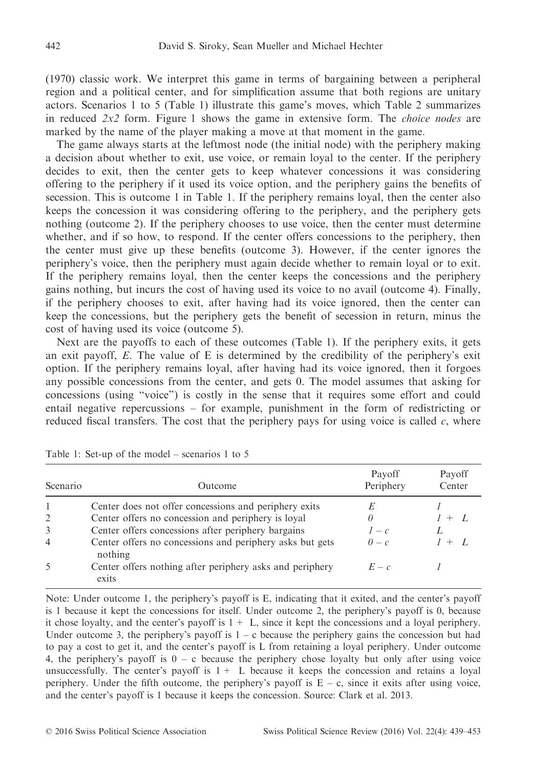(1970) classic work. We interpret this game in terms of bargaining between a peripheral region and a political center, and for simplification assume that both regions are unitary actors. Scenarios 1 to 5 (Table 1) illustrate this game's moves, which Table 2 summarizes in reduced  $2x^2$  form. Figure 1 shows the game in extensive form. The *choice nodes* are marked by the name of the player making a move at that moment in the game.

The game always starts at the leftmost node (the initial node) with the periphery making a decision about whether to exit, use voice, or remain loyal to the center. If the periphery decides to exit, then the center gets to keep whatever concessions it was considering offering to the periphery if it used its voice option, and the periphery gains the benefits of secession. This is outcome 1 in Table 1. If the periphery remains loyal, then the center also keeps the concession it was considering offering to the periphery, and the periphery gets nothing (outcome 2). If the periphery chooses to use voice, then the center must determine whether, and if so how, to respond. If the center offers concessions to the periphery, then the center must give up these benefits (outcome 3). However, if the center ignores the periphery's voice, then the periphery must again decide whether to remain loyal or to exit. If the periphery remains loyal, then the center keeps the concessions and the periphery gains nothing, but incurs the cost of having used its voice to no avail (outcome 4). Finally, if the periphery chooses to exit, after having had its voice ignored, then the center can keep the concessions, but the periphery gets the benefit of secession in return, minus the cost of having used its voice (outcome 5).

Next are the payoffs to each of these outcomes (Table 1). If the periphery exits, it gets an exit payoff,  $E$ . The value of  $E$  is determined by the credibility of the periphery's exit option. If the periphery remains loyal, after having had its voice ignored, then it forgoes any possible concessions from the center, and gets 0. The model assumes that asking for concessions (using "voice") is costly in the sense that it requires some effort and could entail negative repercussions – for example, punishment in the form of redistricting or reduced fiscal transfers. The cost that the periphery pays for using voice is called  $c$ , where

| Scenario                 | <b>Outcome</b>                                                      | Payoff<br>Periphery | Payoff<br>Center |
|--------------------------|---------------------------------------------------------------------|---------------------|------------------|
|                          | Center does not offer concessions and periphery exits               | E                   |                  |
| 2                        | Center offers no concession and periphery is loyal                  | 0                   | $+$ $\prime$ .   |
| 3                        | Center offers concessions after periphery bargains                  | $1-c$               |                  |
| 4                        | Center offers no concessions and periphery asks but gets<br>nothing | $0-c$               | $l + L$          |
| $\overline{\mathcal{L}}$ | Center offers nothing after periphery asks and periphery<br>exits   | $E-c$               |                  |

Table 1: Set-up of the model – scenarios 1 to 5

Note: Under outcome 1, the periphery's payoff is E, indicating that it exited, and the center's payoff is 1 because it kept the concessions for itself. Under outcome 2, the periphery's payoff is 0, because it chose loyalty, and the center's payoff is  $1 + L$ , since it kept the concessions and a loyal periphery. Under outcome 3, the periphery's payoff is  $1 - c$  because the periphery gains the concession but had to pay a cost to get it, and the center's payoff is L from retaining a loyal periphery. Under outcome 4, the periphery's payoff is  $0 - c$  because the periphery chose loyalty but only after using voice unsuccessfully. The center's payoff is  $1 + L$  because it keeps the concession and retains a loyal periphery. Under the fifth outcome, the periphery's payoff is  $E - c$ , since it exits after using voice, and the center's payoff is 1 because it keeps the concession. Source: Clark et al. 2013.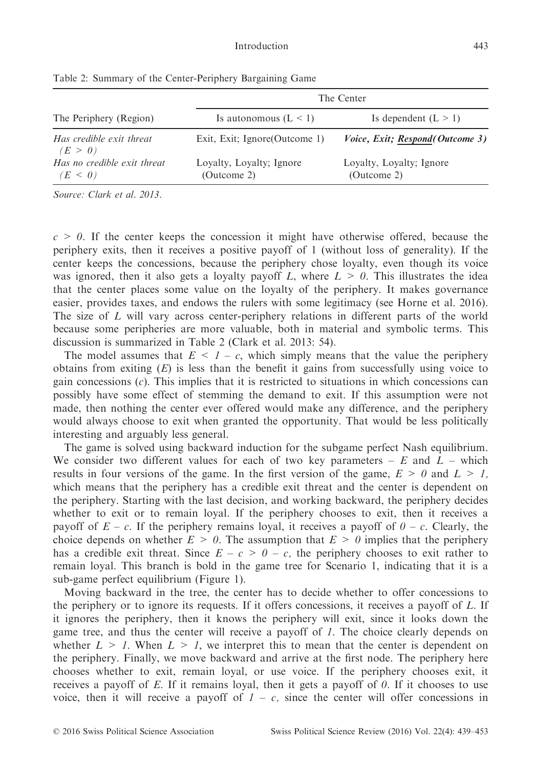|                                        | The Center                              |                                         |  |
|----------------------------------------|-----------------------------------------|-----------------------------------------|--|
| The Periphery (Region)                 | Is autonomous $(L < 1)$                 | Is dependent $(L > 1)$                  |  |
| Has credible exit threat<br>(E > 0)    | Exit, Exit; Ignore (Outcome 1)          | Voice, Exit; Respond(Outcome 3)         |  |
| Has no credible exit threat<br>(E < 0) | Loyalty, Loyalty; Ignore<br>(Outcome 2) | Loyalty, Loyalty; Ignore<br>(Outcome 2) |  |

Table 2: Summary of the Center-Periphery Bargaining Game

Source: Clark et al. 2013.

 $c > 0$ . If the center keeps the concession it might have otherwise offered, because the periphery exits, then it receives a positive payoff of 1 (without loss of generality). If the center keeps the concessions, because the periphery chose loyalty, even though its voice was ignored, then it also gets a loyalty payoff L, where  $L > 0$ . This illustrates the idea that the center places some value on the loyalty of the periphery. It makes governance easier, provides taxes, and endows the rulers with some legitimacy (see Horne et al. 2016). The size of L will vary across center-periphery relations in different parts of the world because some peripheries are more valuable, both in material and symbolic terms. This discussion is summarized in Table 2 (Clark et al. 2013: 54).

The model assumes that  $E \leq 1 - c$ , which simply means that the value the periphery obtains from exiting  $(E)$  is less than the benefit it gains from successfully using voice to gain concessions  $(c)$ . This implies that it is restricted to situations in which concessions can possibly have some effect of stemming the demand to exit. If this assumption were not made, then nothing the center ever offered would make any difference, and the periphery would always choose to exit when granted the opportunity. That would be less politically interesting and arguably less general.

The game is solved using backward induction for the subgame perfect Nash equilibrium. We consider two different values for each of two key parameters –  $E$  and  $L$  – which results in four versions of the game. In the first version of the game,  $E > 0$  and  $L > 1$ , which means that the periphery has a credible exit threat and the center is dependent on the periphery. Starting with the last decision, and working backward, the periphery decides whether to exit or to remain loyal. If the periphery chooses to exit, then it receives a payoff of  $E - c$ . If the periphery remains loyal, it receives a payoff of  $\theta - c$ . Clearly, the choice depends on whether  $E > 0$ . The assumption that  $E > 0$  implies that the periphery has a credible exit threat. Since  $E - c > 0 - c$ , the periphery chooses to exit rather to remain loyal. This branch is bold in the game tree for Scenario 1, indicating that it is a sub-game perfect equilibrium (Figure 1).

Moving backward in the tree, the center has to decide whether to offer concessions to the periphery or to ignore its requests. If it offers concessions, it receives a payoff of L. If it ignores the periphery, then it knows the periphery will exit, since it looks down the game tree, and thus the center will receive a payoff of 1. The choice clearly depends on whether  $L > 1$ . When  $L > 1$ , we interpret this to mean that the center is dependent on the periphery. Finally, we move backward and arrive at the first node. The periphery here chooses whether to exit, remain loyal, or use voice. If the periphery chooses exit, it receives a payoff of E. If it remains loyal, then it gets a payoff of  $\theta$ . If it chooses to use voice, then it will receive a payoff of  $I - c$ , since the center will offer concessions in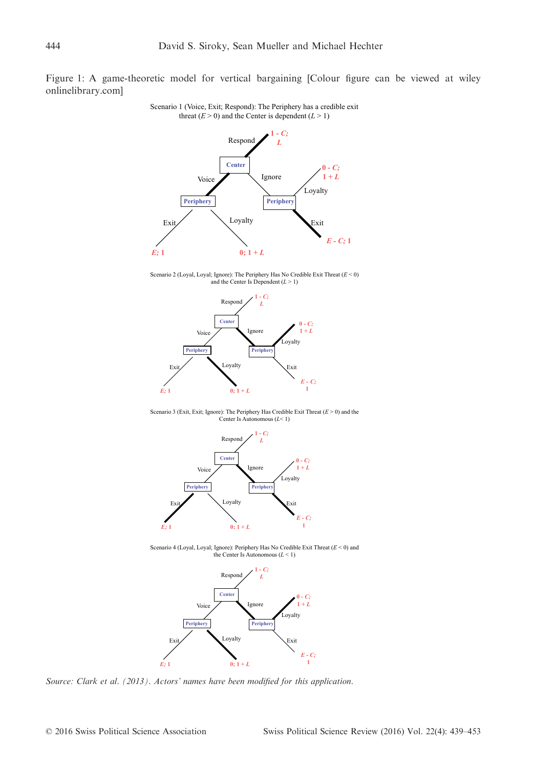Figure 1: A game-theoretic model for vertical bargaining [Colour figure can be viewed at [wiley](wileyonlinelibrary.com) [onlinelibrary.com](wileyonlinelibrary.com)]



Scenario 1 (Voice, Exit; Respond): The Periphery has a credible exit threat  $(E > 0)$  and the Center is dependent  $(L > 1)$ 

Scenario 2 (Loyal, Loyal; Ignore): The Periphery Has No Credible Exit Threat (*E* < 0) and the Center Is Dependent (*L* > 1)



Scenario 3 (Exit, Exit; Ignore): The Periphery Has Credible Exit Threat (*E* > 0) and the Center Is Autonomous (*L*< 1)



Scenario 4 (Loyal, Loyal; Ignore): Periphery Has No Credible Exit Threat (*E* < 0) and the Center Is Autonomous (*L* < 1)



Source: Clark et al. (2013). Actors' names have been modified for this application.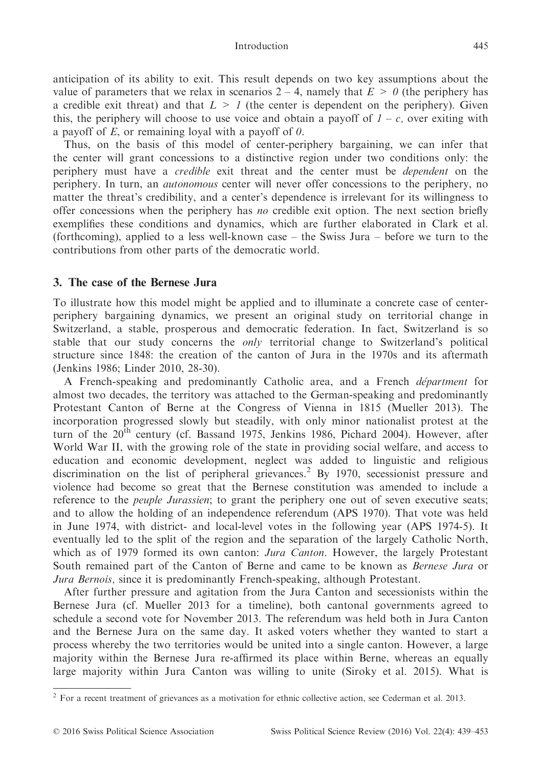anticipation of its ability to exit. This result depends on two key assumptions about the value of parameters that we relax in scenarios  $2 - 4$ , namely that  $E > 0$  (the periphery has a credible exit threat) and that  $L > 1$  (the center is dependent on the periphery). Given this, the periphery will choose to use voice and obtain a payoff of  $1 - c$ , over exiting with a payoff of  $E$ , or remaining loyal with a payoff of  $\theta$ .

Thus, on the basis of this model of center-periphery bargaining, we can infer that the center will grant concessions to a distinctive region under two conditions only: the periphery must have a credible exit threat and the center must be dependent on the periphery. In turn, an autonomous center will never offer concessions to the periphery, no matter the threat's credibility, and a center's dependence is irrelevant for its willingness to offer concessions when the periphery has no credible exit option. The next section briefly exemplifies these conditions and dynamics, which are further elaborated in Clark et al. (forthcoming), applied to a less well-known case – the Swiss Jura – before we turn to the contributions from other parts of the democratic world.

# 3. The case of the Bernese Jura

To illustrate how this model might be applied and to illuminate a concrete case of centerperiphery bargaining dynamics, we present an original study on territorial change in Switzerland, a stable, prosperous and democratic federation. In fact, Switzerland is so stable that our study concerns the only territorial change to Switzerland's political structure since 1848: the creation of the canton of Jura in the 1970s and its aftermath (Jenkins 1986; Linder 2010, 28-30).

A French-speaking and predominantly Catholic area, and a French *départment* for almost two decades, the territory was attached to the German-speaking and predominantly Protestant Canton of Berne at the Congress of Vienna in 1815 (Mueller 2013). The incorporation progressed slowly but steadily, with only minor nationalist protest at the turn of the  $20<sup>th</sup>$  century (cf. Bassand 1975, Jenkins 1986, Pichard 2004). However, after World War II, with the growing role of the state in providing social welfare, and access to education and economic development, neglect was added to linguistic and religious discrimination on the list of peripheral grievances.<sup>2</sup> By 1970, secessionist pressure and violence had become so great that the Bernese constitution was amended to include a reference to the *peuple Jurassien*; to grant the periphery one out of seven executive seats; and to allow the holding of an independence referendum (APS 1970). That vote was held in June 1974, with district- and local-level votes in the following year (APS 1974-5). It eventually led to the split of the region and the separation of the largely Catholic North, which as of 1979 formed its own canton: Jura Canton. However, the largely Protestant South remained part of the Canton of Berne and came to be known as Bernese Jura or Jura Bernois, since it is predominantly French-speaking, although Protestant.

After further pressure and agitation from the Jura Canton and secessionists within the Bernese Jura (cf. Mueller 2013 for a timeline), both cantonal governments agreed to schedule a second vote for November 2013. The referendum was held both in Jura Canton and the Bernese Jura on the same day. It asked voters whether they wanted to start a process whereby the two territories would be united into a single canton. However, a large majority within the Bernese Jura re-affirmed its place within Berne, whereas an equally large majority within Jura Canton was willing to unite (Siroky et al. 2015). What is

<sup>&</sup>lt;sup>2</sup> For a recent treatment of grievances as a motivation for ethnic collective action, see Cederman et al. 2013.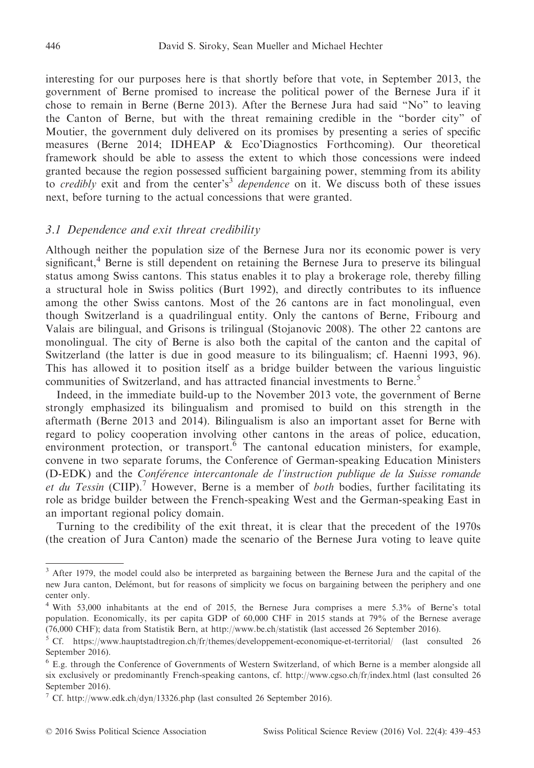interesting for our purposes here is that shortly before that vote, in September 2013, the government of Berne promised to increase the political power of the Bernese Jura if it chose to remain in Berne (Berne 2013). After the Bernese Jura had said "No" to leaving the Canton of Berne, but with the threat remaining credible in the "border city" of Moutier, the government duly delivered on its promises by presenting a series of specific measures (Berne 2014; IDHEAP & Eco'Diagnostics Forthcoming). Our theoretical framework should be able to assess the extent to which those concessions were indeed granted because the region possessed sufficient bargaining power, stemming from its ability to credibly exit and from the center's<sup>3</sup> dependence on it. We discuss both of these issues next, before turning to the actual concessions that were granted.

## 3.1 Dependence and exit threat credibility

Although neither the population size of the Bernese Jura nor its economic power is very significant, $4$  Berne is still dependent on retaining the Bernese Jura to preserve its bilingual status among Swiss cantons. This status enables it to play a brokerage role, thereby filling a structural hole in Swiss politics (Burt 1992), and directly contributes to its influence among the other Swiss cantons. Most of the 26 cantons are in fact monolingual, even though Switzerland is a quadrilingual entity. Only the cantons of Berne, Fribourg and Valais are bilingual, and Grisons is trilingual (Stojanovic 2008). The other 22 cantons are monolingual. The city of Berne is also both the capital of the canton and the capital of Switzerland (the latter is due in good measure to its bilingualism; cf. Haenni 1993, 96). This has allowed it to position itself as a bridge builder between the various linguistic communities of Switzerland, and has attracted financial investments to Berne.<sup>5</sup>

Indeed, in the immediate build-up to the November 2013 vote, the government of Berne strongly emphasized its bilingualism and promised to build on this strength in the aftermath (Berne 2013 and 2014). Bilingualism is also an important asset for Berne with regard to policy cooperation involving other cantons in the areas of police, education, environment protection, or transport.<sup>6</sup> The cantonal education ministers, for example, convene in two separate forums, the Conference of German-speaking Education Ministers (D-EDK) and the Conference intercantonale de l'instruction publique de la Suisse romande et du Tessin (CIIP).<sup>7</sup> However, Berne is a member of both bodies, further facilitating its role as bridge builder between the French-speaking West and the German-speaking East in an important regional policy domain.

Turning to the credibility of the exit threat, it is clear that the precedent of the 1970s (the creation of Jura Canton) made the scenario of the Bernese Jura voting to leave quite

<sup>3</sup> After 1979, the model could also be interpreted as bargaining between the Bernese Jura and the capital of the new Jura canton, Delemont, but for reasons of simplicity we focus on bargaining between the periphery and one center only.

<sup>4</sup> With 53,000 inhabitants at the end of 2015, the Bernese Jura comprises a mere 5.3% of Berne's total population. Economically, its per capita GDP of 60,000 CHF in 2015 stands at 79% of the Bernese average (76,000 CHF); data from Statistik Bern, at<http://www.be.ch/statistik> (last accessed 26 September 2016).

<sup>5</sup> Cf.<https://www.hauptstadtregion.ch/fr/themes/developpement-economique-et-territorial/> (last consulted 26 September 2016).

<sup>6</sup> E.g. through the Conference of Governments of Western Switzerland, of which Berne is a member alongside all six exclusively or predominantly French-speaking cantons, cf.<http://www.cgso.ch/fr/index.html> (last consulted 26 September 2016).

 $^7$  Cf.<http://www.edk.ch/dyn/13326.php> (last consulted 26 September 2016).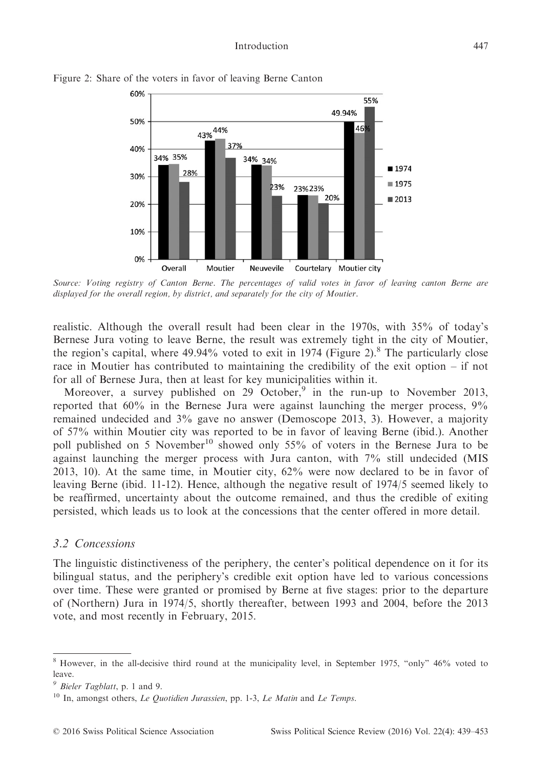

Figure 2: Share of the voters in favor of leaving Berne Canton

Source: Voting registry of Canton Berne. The percentages of valid votes in favor of leaving canton Berne are displayed for the overall region, by district, and separately for the city of Moutier.

realistic. Although the overall result had been clear in the 1970s, with 35% of today's Bernese Jura voting to leave Berne, the result was extremely tight in the city of Moutier, the region's capital, where  $49.94\%$  voted to exit in 1974 (Figure 2).<sup>8</sup> The particularly close race in Moutier has contributed to maintaining the credibility of the exit option – if not for all of Bernese Jura, then at least for key municipalities within it.

Moreover, a survey published on 29 October,<sup>9</sup> in the run-up to November 2013, reported that 60% in the Bernese Jura were against launching the merger process, 9% remained undecided and 3% gave no answer (Demoscope 2013, 3). However, a majority of 57% within Moutier city was reported to be in favor of leaving Berne (ibid.). Another poll published on 5 November<sup>10</sup> showed only 55% of voters in the Bernese Jura to be against launching the merger process with Jura canton, with 7% still undecided (MIS 2013, 10). At the same time, in Moutier city, 62% were now declared to be in favor of leaving Berne (ibid. 11-12). Hence, although the negative result of 1974/5 seemed likely to be reaffirmed, uncertainty about the outcome remained, and thus the credible of exiting persisted, which leads us to look at the concessions that the center offered in more detail.

## 3.2 Concessions

The linguistic distinctiveness of the periphery, the center's political dependence on it for its bilingual status, and the periphery's credible exit option have led to various concessions over time. These were granted or promised by Berne at five stages: prior to the departure of (Northern) Jura in 1974/5, shortly thereafter, between 1993 and 2004, before the 2013 vote, and most recently in February, 2015.

<sup>8</sup> However, in the all-decisive third round at the municipality level, in September 1975, "only" 46% voted to leave.

<sup>9</sup> Bieler Tagblatt, p. 1 and 9.

 $10$  In, amongst others, Le Quotidien Jurassien, pp. 1-3, Le Matin and Le Temps.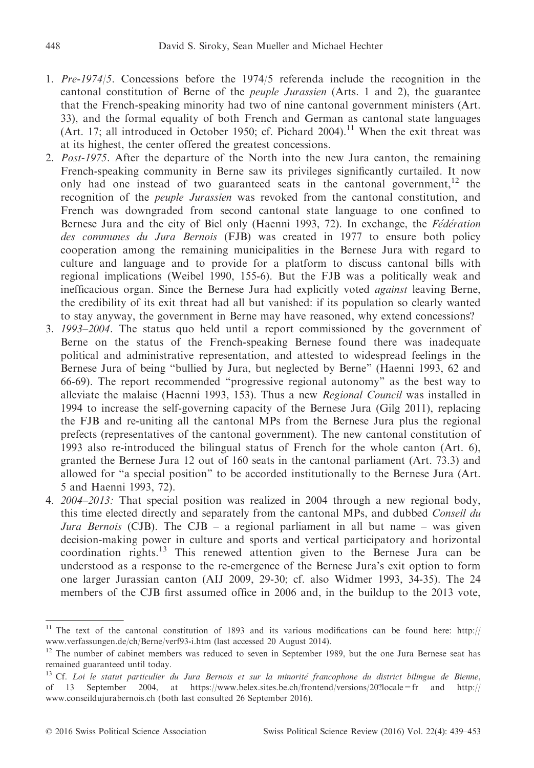- 1. Pre-1974/5. Concessions before the 1974/5 referenda include the recognition in the cantonal constitution of Berne of the peuple Jurassien (Arts. 1 and 2), the guarantee that the French-speaking minority had two of nine cantonal government ministers (Art. 33), and the formal equality of both French and German as cantonal state languages (Art. 17; all introduced in October 1950; cf. Pichard 2004).<sup>11</sup> When the exit threat was at its highest, the center offered the greatest concessions.
- 2. Post-1975. After the departure of the North into the new Jura canton, the remaining French-speaking community in Berne saw its privileges significantly curtailed. It now only had one instead of two guaranteed seats in the cantonal government,  $1^2$  the recognition of the peuple Jurassien was revoked from the cantonal constitution, and French was downgraded from second cantonal state language to one confined to Bernese Jura and the city of Biel only (Haenni 1993, 72). In exchange, the *Fédération* des communes du Jura Bernois (FJB) was created in 1977 to ensure both policy cooperation among the remaining municipalities in the Bernese Jura with regard to culture and language and to provide for a platform to discuss cantonal bills with regional implications (Weibel 1990, 155-6). But the FJB was a politically weak and inefficacious organ. Since the Bernese Jura had explicitly voted against leaving Berne, the credibility of its exit threat had all but vanished: if its population so clearly wanted to stay anyway, the government in Berne may have reasoned, why extend concessions?
- 3. 1993–2004. The status quo held until a report commissioned by the government of Berne on the status of the French-speaking Bernese found there was inadequate political and administrative representation, and attested to widespread feelings in the Bernese Jura of being "bullied by Jura, but neglected by Berne" (Haenni 1993, 62 and 66-69). The report recommended "progressive regional autonomy" as the best way to alleviate the malaise (Haenni 1993, 153). Thus a new Regional Council was installed in 1994 to increase the self-governing capacity of the Bernese Jura (Gilg 2011), replacing the FJB and re-uniting all the cantonal MPs from the Bernese Jura plus the regional prefects (representatives of the cantonal government). The new cantonal constitution of 1993 also re-introduced the bilingual status of French for the whole canton (Art. 6), granted the Bernese Jura 12 out of 160 seats in the cantonal parliament (Art. 73.3) and allowed for "a special position" to be accorded institutionally to the Bernese Jura (Art. 5 and Haenni 1993, 72).
- 4. 2004–2013: That special position was realized in 2004 through a new regional body, this time elected directly and separately from the cantonal MPs, and dubbed Conseil du Jura Bernois (CJB). The CJB – a regional parliament in all but name – was given decision-making power in culture and sports and vertical participatory and horizontal coordination rights. $13$  This renewed attention given to the Bernese Jura can be understood as a response to the re-emergence of the Bernese Jura's exit option to form one larger Jurassian canton (AIJ 2009, 29-30; cf. also Widmer 1993, 34-35). The 24 members of the CJB first assumed office in 2006 and, in the buildup to the 2013 vote,

<sup>&</sup>lt;sup>11</sup> The text of the cantonal constitution of 1893 and its various modifications can be found here: [http://](http://www.verfassungen.de/ch/Berne/verf93-i.htm) [www.verfassungen.de/ch/Berne/verf93-i.htm](http://www.verfassungen.de/ch/Berne/verf93-i.htm) (last accessed 20 August 2014).

<sup>&</sup>lt;sup>12</sup> The number of cabinet members was reduced to seven in September 1989, but the one Jura Bernese seat has remained guaranteed until today.

<sup>&</sup>lt;sup>13</sup> Cf. Loi le statut particulier du Jura Bernois et sur la minorité francophone du district bilingue de Bienne, of 13 September 2004, at<https://www.belex.sites.be.ch/frontend/versions/20?locale=fr> and [http://](http://www.conseildujurabernois.ch) [www.conseildujurabernois.ch](http://www.conseildujurabernois.ch) (both last consulted 26 September 2016).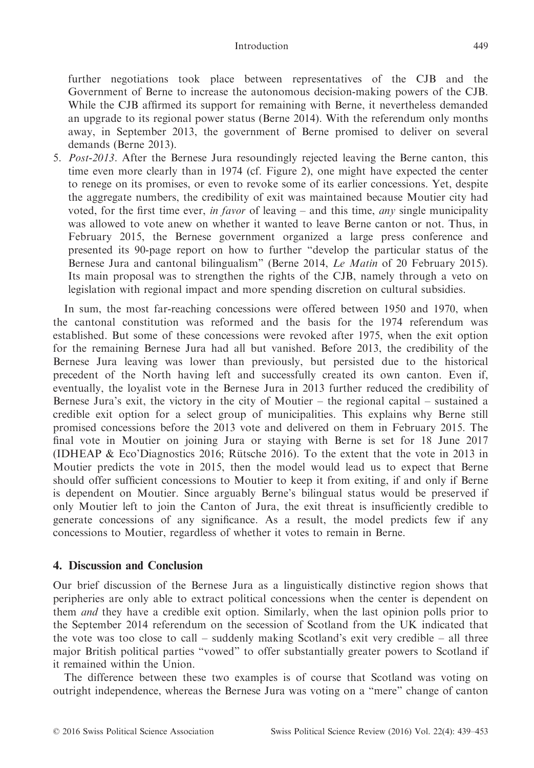## Introduction 449

further negotiations took place between representatives of the CJB and the Government of Berne to increase the autonomous decision-making powers of the CJB. While the CJB affirmed its support for remaining with Berne, it nevertheless demanded an upgrade to its regional power status (Berne 2014). With the referendum only months away, in September 2013, the government of Berne promised to deliver on several demands (Berne 2013).

5. Post-2013. After the Bernese Jura resoundingly rejected leaving the Berne canton, this time even more clearly than in 1974 (cf. Figure 2), one might have expected the center to renege on its promises, or even to revoke some of its earlier concessions. Yet, despite the aggregate numbers, the credibility of exit was maintained because Moutier city had voted, for the first time ever, in favor of leaving – and this time, any single municipality was allowed to vote anew on whether it wanted to leave Berne canton or not. Thus, in February 2015, the Bernese government organized a large press conference and presented its 90-page report on how to further "develop the particular status of the Bernese Jura and cantonal bilingualism" (Berne 2014, Le Matin of 20 February 2015). Its main proposal was to strengthen the rights of the CJB, namely through a veto on legislation with regional impact and more spending discretion on cultural subsidies.

In sum, the most far-reaching concessions were offered between 1950 and 1970, when the cantonal constitution was reformed and the basis for the 1974 referendum was established. But some of these concessions were revoked after 1975, when the exit option for the remaining Bernese Jura had all but vanished. Before 2013, the credibility of the Bernese Jura leaving was lower than previously, but persisted due to the historical precedent of the North having left and successfully created its own canton. Even if, eventually, the loyalist vote in the Bernese Jura in 2013 further reduced the credibility of Bernese Jura's exit, the victory in the city of Moutier – the regional capital – sustained a credible exit option for a select group of municipalities. This explains why Berne still promised concessions before the 2013 vote and delivered on them in February 2015. The final vote in Moutier on joining Jura or staying with Berne is set for 18 June 2017 (IDHEAP & Eco'Diagnostics 2016; Rütsche 2016). To the extent that the vote in 2013 in Moutier predicts the vote in 2015, then the model would lead us to expect that Berne should offer sufficient concessions to Moutier to keep it from exiting, if and only if Berne is dependent on Moutier. Since arguably Berne's bilingual status would be preserved if only Moutier left to join the Canton of Jura, the exit threat is insufficiently credible to generate concessions of any significance. As a result, the model predicts few if any concessions to Moutier, regardless of whether it votes to remain in Berne.

# 4. Discussion and Conclusion

Our brief discussion of the Bernese Jura as a linguistically distinctive region shows that peripheries are only able to extract political concessions when the center is dependent on them and they have a credible exit option. Similarly, when the last opinion polls prior to the September 2014 referendum on the secession of Scotland from the UK indicated that the vote was too close to call – suddenly making Scotland's exit very credible – all three major British political parties "vowed" to offer substantially greater powers to Scotland if it remained within the Union.

The difference between these two examples is of course that Scotland was voting on outright independence, whereas the Bernese Jura was voting on a "mere" change of canton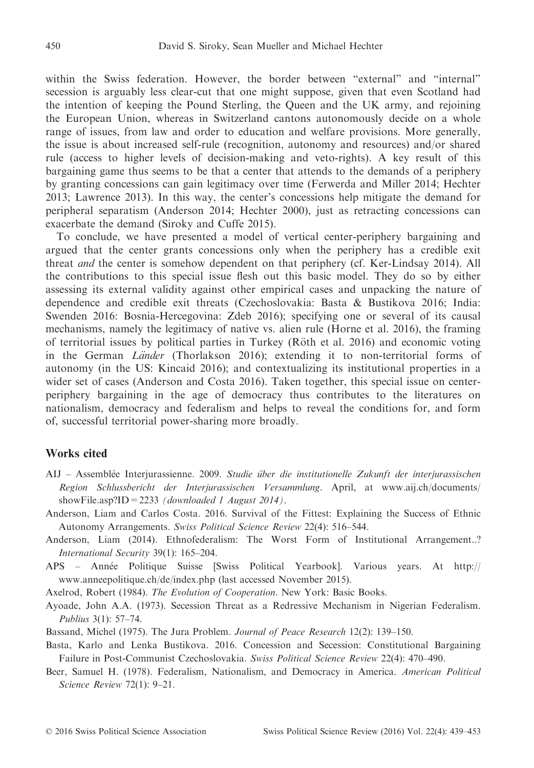within the Swiss federation. However, the border between "external" and "internal" secession is arguably less clear-cut that one might suppose, given that even Scotland had the intention of keeping the Pound Sterling, the Queen and the UK army, and rejoining the European Union, whereas in Switzerland cantons autonomously decide on a whole range of issues, from law and order to education and welfare provisions. More generally, the issue is about increased self-rule (recognition, autonomy and resources) and/or shared rule (access to higher levels of decision-making and veto-rights). A key result of this bargaining game thus seems to be that a center that attends to the demands of a periphery by granting concessions can gain legitimacy over time (Ferwerda and Miller 2014; Hechter 2013; Lawrence 2013). In this way, the center's concessions help mitigate the demand for peripheral separatism (Anderson 2014; Hechter 2000), just as retracting concessions can exacerbate the demand (Siroky and Cuffe 2015).

To conclude, we have presented a model of vertical center-periphery bargaining and argued that the center grants concessions only when the periphery has a credible exit threat and the center is somehow dependent on that periphery (cf. Ker-Lindsay 2014). All the contributions to this special issue flesh out this basic model. They do so by either assessing its external validity against other empirical cases and unpacking the nature of dependence and credible exit threats (Czechoslovakia: Basta & Bustikova 2016; India: Swenden 2016: Bosnia-Hercegovina: Zdeb 2016); specifying one or several of its causal mechanisms, namely the legitimacy of native vs. alien rule (Horne et al. 2016), the framing of territorial issues by political parties in Turkey (Röth et al. 2016) and economic voting in the German Länder (Thorlakson 2016); extending it to non-territorial forms of autonomy (in the US: Kincaid 2016); and contextualizing its institutional properties in a wider set of cases (Anderson and Costa 2016). Taken together, this special issue on centerperiphery bargaining in the age of democracy thus contributes to the literatures on nationalism, democracy and federalism and helps to reveal the conditions for, and form of, successful territorial power-sharing more broadly.

## Works cited

- AIJ Assemblée Interjurassienne. 2009. Studie über die institutionelle Zukunft der interjurassischen Region Schlussbericht der Interjurassischen Versammlung. April, at [www.aij.ch/documents/](http://www.aij.ch/documents/showFile.asp?ID=2233) showFile.asp?ID = 2233 (downloaded 1 August 2014).
- Anderson, Liam and Carlos Costa. 2016. Survival of the Fittest: Explaining the Success of Ethnic Autonomy Arrangements. Swiss Political Science Review 22(4): 516–544.
- Anderson, Liam (2014). Ethnofederalism: The Worst Form of Institutional Arrangement..? International Security 39(1): 165–204.
- APS Annee Politique Suisse [Swiss Political Yearbook]. Various years. At [http://](http://www.anneepolitique.ch/de/index.php) [www.anneepolitique.ch/de/index.php](http://www.anneepolitique.ch/de/index.php) (last accessed November 2015).

Axelrod, Robert (1984). The Evolution of Cooperation. New York: Basic Books.

- Ayoade, John A.A. (1973). Secession Threat as a Redressive Mechanism in Nigerian Federalism. Publius 3(1): 57–74.
- Bassand, Michel (1975). The Jura Problem. Journal of Peace Research 12(2): 139–150.
- Basta, Karlo and Lenka Bustikova. 2016. Concession and Secession: Constitutional Bargaining Failure in Post-Communist Czechoslovakia. Swiss Political Science Review 22(4): 470–490.
- Beer, Samuel H. (1978). Federalism, Nationalism, and Democracy in America. American Political Science Review 72(1): 9–21.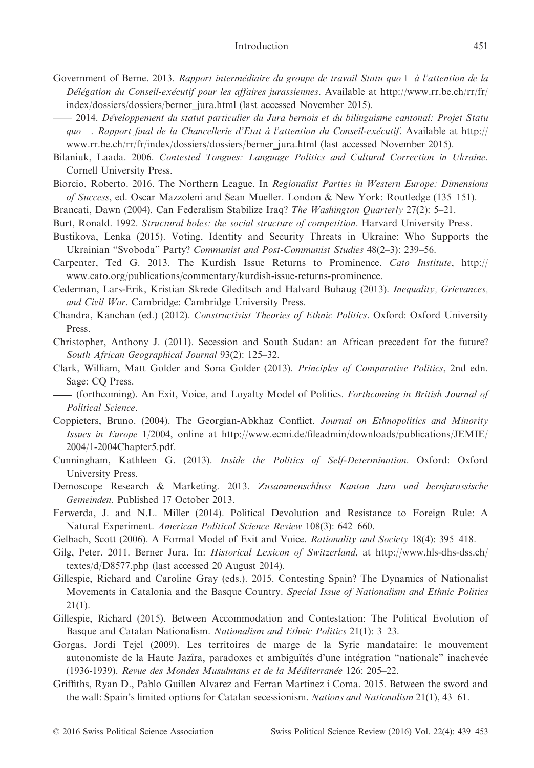#### Introduction 451

- Government of Berne. 2013. Rapport intermédiaire du groupe de travail Statu quo + à l'attention de la Délégation du Conseil-exécutif pour les affaires jurassiennes. Available at [http://www.rr.be.ch/rr/fr/](http://www.rr.be.ch/rr/fr/index/dossiers/dossiers/berner_jura.html) [index/dossiers/dossiers/berner\\_jura.html](http://www.rr.be.ch/rr/fr/index/dossiers/dossiers/berner_jura.html) (last accessed November 2015).
- -2014. Developpement du statut particulier du Jura bernois et du bilinguisme cantonal: Projet Statu quo+. Rapport final de la Chancellerie d'Etat à l'attention du Conseil-exécutif. Available at [http://](http://www.rr.be.ch/rr/fr/index/dossiers/dossiers/berner_jura.html) [www.rr.be.ch/rr/fr/index/dossiers/dossiers/berner\\_jura.html](http://www.rr.be.ch/rr/fr/index/dossiers/dossiers/berner_jura.html) (last accessed November 2015).
- Bilaniuk, Laada. 2006. Contested Tongues: Language Politics and Cultural Correction in Ukraine. Cornell University Press.
- Biorcio, Roberto. 2016. The Northern League. In Regionalist Parties in Western Europe: Dimensions of Success, ed. Oscar Mazzoleni and Sean Mueller. London & New York: Routledge (135–151).
- Brancati, Dawn (2004). Can Federalism Stabilize Iraq? The Washington Quarterly 27(2): 5–21.
- Burt, Ronald. 1992. Structural holes: the social structure of competition. Harvard University Press.
- Bustikova, Lenka (2015). Voting, Identity and Security Threats in Ukraine: Who Supports the Ukrainian "Svoboda" Party? Communist and Post-Communist Studies 48(2–3): 239–56.
- Carpenter, Ted G. 2013. The Kurdish Issue Returns to Prominence. Cato Institute, [http://](http://www.cato.org/publications/commentary/kurdish-issue-returns-prominence) [www.cato.org/publications/commentary/kurdish-issue-returns-prominence.](http://www.cato.org/publications/commentary/kurdish-issue-returns-prominence)
- Cederman, Lars-Erik, Kristian Skrede Gleditsch and Halvard Buhaug (2013). Inequality, Grievances, and Civil War. Cambridge: Cambridge University Press.
- Chandra, Kanchan (ed.) (2012). Constructivist Theories of Ethnic Politics. Oxford: Oxford University Press.
- Christopher, Anthony J. (2011). Secession and South Sudan: an African precedent for the future? South African Geographical Journal 93(2): 125–32.
- Clark, William, Matt Golder and Sona Golder (2013). Principles of Comparative Politics, 2nd edn. Sage: CQ Press.
- Christopher, Anthony J. (2011). Secession and South Sudan: an African precedent for the future?<br>
South African Geographical Journal 93(2): 125–32.<br>
Clark, William, Matt Golder and Sona Golder (2013). Principles of Comparat Political Science.
- Coppieters, Bruno. (2004). The Georgian-Abkhaz Conflict. Journal on Ethnopolitics and Minority Issues in Europe 1/2004, online at [http://www.ecmi.de/fileadmin/downloads/publications/JEMIE/](http://www.ecmi.de/fileadmin/downloads/publications/JEMIE/2004/1-2004Chapter5.pdf) [2004/1-2004Chapter5.pdf](http://www.ecmi.de/fileadmin/downloads/publications/JEMIE/2004/1-2004Chapter5.pdf).
- Cunningham, Kathleen G. (2013). Inside the Politics of Self-Determination. Oxford: Oxford University Press.
- Demoscope Research & Marketing. 2013. Zusammenschluss Kanton Jura und bernjurassische Gemeinden. Published 17 October 2013.
- Ferwerda, J. and N.L. Miller (2014). Political Devolution and Resistance to Foreign Rule: A Natural Experiment. American Political Science Review 108(3): 642–660.
- Gelbach, Scott (2006). A Formal Model of Exit and Voice. Rationality and Society 18(4): 395–418.
- Gilg, Peter. 2011. Berner Jura. In: *Historical Lexicon of Switzerland*, at [http://www.hls-dhs-dss.ch/](http://www.hls-dhs-dss.ch/textes/d/D8577.php) [textes/d/D8577.php](http://www.hls-dhs-dss.ch/textes/d/D8577.php) (last accessed 20 August 2014).
- Gillespie, Richard and Caroline Gray (eds.). 2015. Contesting Spain? The Dynamics of Nationalist Movements in Catalonia and the Basque Country. Special Issue of Nationalism and Ethnic Politics  $21(1)$ .
- Gillespie, Richard (2015). Between Accommodation and Contestation: The Political Evolution of Basque and Catalan Nationalism. Nationalism and Ethnic Politics 21(1): 3–23.
- Gorgas, Jordi Tejel (2009). Les territoires de marge de la Syrie mandataire: le mouvement autonomiste de la Haute Jazîra, paradoxes et ambiguïtés d'une intégration "nationale" inachevée (1936-1939). Revue des Mondes Musulmans et de la Méditerranée 126: 205–22.
- Griffiths, Ryan D., Pablo Guillen Alvarez and Ferran Martinez i Coma. 2015. Between the sword and the wall: Spain's limited options for Catalan secessionism. Nations and Nationalism 21(1), 43–61.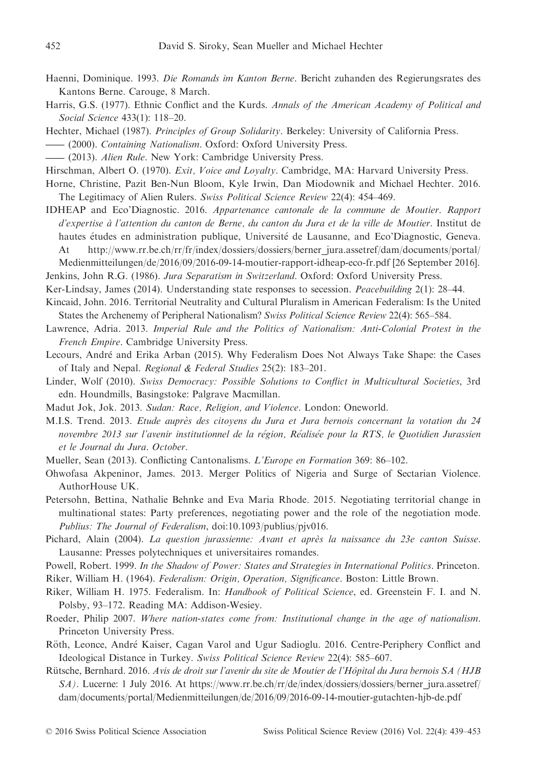- Haenni, Dominique. 1993. Die Romands im Kanton Berne. Bericht zuhanden des Regierungsrates des Kantons Berne. Carouge, 8 March.
- Harris, G.S. (1977). Ethnic Conflict and the Kurds. Annals of the American Academy of Political and Social Science 433(1): 118–20. Kantons Berne. Carouge, 8 March.<br>
Harris, G.S. (1977). Ethnic Conflict and the Kurds. Annals of the Ame<br>
Social Science 433(1): 118–20.<br>
Hechter, Michael (1987). Principles of Group Solidarity. Berkeley: Univ<br>
— (2000). Co Harris, G.S. (1977). Ethnic Conflict and the Kurds. Annals of th<br>
Social Science 433(1): 118–20.<br>
Hechter, Michael (1987). Principles of Group Solidarity. Berkeley<br>
— (2000). Containing Nationalism. Oxford: Oxford Universi
- Hechter, Michael (1987). Principles of Group Solidarity. Berkeley: University of California Press.
- 
- 
- Hirschman, Albert O. (1970). Exit, Voice and Loyalty. Cambridge, MA: Harvard University Press.
- Horne, Christine, Pazit Ben-Nun Bloom, Kyle Irwin, Dan Miodownik and Michael Hechter. 2016. The Legitimacy of Alien Rulers. Swiss Political Science Review 22(4): 454–469.
- IDHEAP and Eco'Diagnostic. 2016. Appartenance cantonale de la commune de Moutier. Rapport d'expertise à l'attention du canton de Berne, du canton du Jura et de la ville de Moutier. Institut de hautes études en administration publique, Université de Lausanne, and Eco'Diagnostic, Geneva. At [http://www.rr.be.ch/rr/fr/index/dossiers/dossiers/berner\\_jura.assetref/dam/documents/portal/](http://www.rr.be.ch/rr/fr/index/dossiers/dossiers/berner_jura.assetref/dam/documents/portal/Medienmitteilungen/de/2016/09/2016-09-14-moutier-rapport-idheap-eco-fr.pdf) [Medienmitteilungen/de/2016/09/2016-09-14-moutier-rapport-idheap-eco-fr.pdf](http://www.rr.be.ch/rr/fr/index/dossiers/dossiers/berner_jura.assetref/dam/documents/portal/Medienmitteilungen/de/2016/09/2016-09-14-moutier-rapport-idheap-eco-fr.pdf) [26 September 2016].

Jenkins, John R.G. (1986). Jura Separatism in Switzerland. Oxford: Oxford University Press.

- Ker-Lindsay, James (2014). Understanding state responses to secession. Peacebuilding 2(1): 28–44.
- Kincaid, John. 2016. Territorial Neutrality and Cultural Pluralism in American Federalism: Is the United States the Archenemy of Peripheral Nationalism? Swiss Political Science Review 22(4): 565–584.
- Lawrence, Adria. 2013. Imperial Rule and the Politics of Nationalism: Anti-Colonial Protest in the French Empire. Cambridge University Press.
- Lecours, Andre and Erika Arban (2015). Why Federalism Does Not Always Take Shape: the Cases of Italy and Nepal. Regional & Federal Studies 25(2): 183–201.
- Linder, Wolf (2010). Swiss Democracy: Possible Solutions to Conflict in Multicultural Societies, 3rd edn. Houndmills, Basingstoke: Palgrave Macmillan.
- Madut Jok, Jok. 2013. Sudan: Race, Religion, and Violence. London: Oneworld.
- M.I.S. Trend. 2013. Etude aupres des citoyens du Jura et Jura bernois concernant la votation du 24 novembre 2013 sur l'avenir institutionnel de la région, Réalisée pour la RTS, le Quotidien Jurassien et le Journal du Jura. October.
- Mueller, Sean (2013). Conflicting Cantonalisms. L'Europe en Formation 369: 86–102.
- Ohwofasa Akpeninor, James. 2013. Merger Politics of Nigeria and Surge of Sectarian Violence. AuthorHouse UK.
- Petersohn, Bettina, Nathalie Behnke and Eva Maria Rhode. 2015. Negotiating territorial change in multinational states: Party preferences, negotiating power and the role of the negotiation mode. Publius: The Journal of Federalism, doi[:10.1093/publius/pjv016.](http://dx.doi.org/10.1093/publius/pjv016)
- Pichard, Alain (2004). La question jurassienne: Avant et après la naissance du 23e canton Suisse. Lausanne: Presses polytechniques et universitaires romandes.
- Powell, Robert. 1999. In the Shadow of Power: States and Strategies in International Politics. Princeton.
- Riker, William H. (1964). Federalism: Origin, Operation, Significance. Boston: Little Brown.
- Riker, William H. 1975. Federalism. In: Handbook of Political Science, ed. Greenstein F. I. and N. Polsby, 93–172. Reading MA: Addison-Wesiey.
- Roeder, Philip 2007. Where nation-states come from: Institutional change in the age of nationalism. Princeton University Press.
- Röth, Leonce, André Kaiser, Cagan Varol and Ugur Sadioglu. 2016. Centre-Periphery Conflict and Ideological Distance in Turkey. Swiss Political Science Review 22(4): 585–607.
- Rütsche, Bernhard. 2016. Avis de droit sur l'avenir du site de Moutier de l'Hôpital du Jura bernois SA (HJB SA). Lucerne: 1 July 2016. At [https://www.rr.be.ch/rr/de/index/dossiers/dossiers/berner\\_jura.assetref/](https://www.rr.be.ch/rr/de/index/dossiers/dossiers/berner_jura.assetref/dam/documents/portal/Medienmitteilungen/de/2016/09/2016-09-14-moutier-gutachten-hjb-de.pdf) [dam/documents/portal/Medienmitteilungen/de/2016/09/2016-09-14-moutier-gutachten-hjb-de.pdf](https://www.rr.be.ch/rr/de/index/dossiers/dossiers/berner_jura.assetref/dam/documents/portal/Medienmitteilungen/de/2016/09/2016-09-14-moutier-gutachten-hjb-de.pdf)